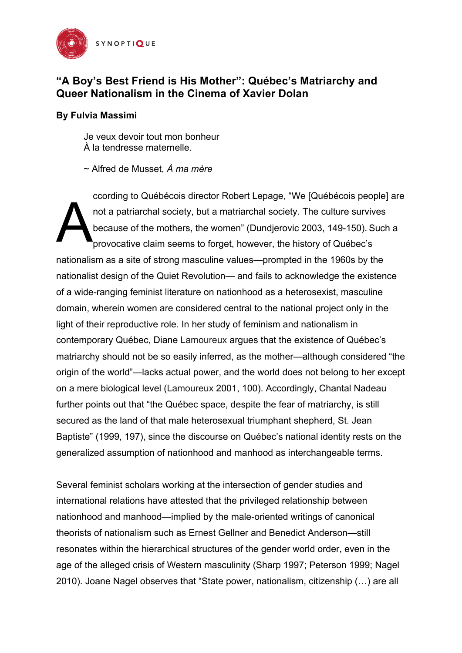

# **"A Boy's Best Friend is His Mother": Québec's Matriarchy and Queer Nationalism in the Cinema of Xavier Dolan**

## **By Fulvia Massimi**

Je veux devoir tout mon bonheur À la tendresse maternelle.

~ Alfred de Musset, *À ma mère*

ccording to Québécois director Robert Lepage, "We [Québécois people] are not a patriarchal society, but a matriarchal society. The culture survives because of the mothers, the women" (Dundjerovic 2003, 149-150). Such a provocative claim seems to forget, however, the history of Québec's nationalism as a site of strong masculine values—prompted in the 1960s by the nationalist design of the Quiet Revolution— and fails to acknowledge the existence of a wide-ranging feminist literature on nationhood as a heterosexist, masculine domain, wherein women are considered central to the national project only in the light of their reproductive role. In her study of feminism and nationalism in contemporary Québec, Diane Lamoureux argues that the existence of Québec's matriarchy should not be so easily inferred, as the mother—although considered "the origin of the world"—lacks actual power, and the world does not belong to her except on a mere biological level (Lamoureux 2001, 100). Accordingly, Chantal Nadeau further points out that "the Québec space, despite the fear of matriarchy, is still secured as the land of that male heterosexual triumphant shepherd, St. Jean Baptiste" (1999, 197), since the discourse on Québec's national identity rests on the generalized assumption of nationhood and manhood as interchangeable terms. A

Several feminist scholars working at the intersection of gender studies and international relations have attested that the privileged relationship between nationhood and manhood—implied by the male-oriented writings of canonical theorists of nationalism such as Ernest Gellner and Benedict Anderson—still resonates within the hierarchical structures of the gender world order, even in the age of the alleged crisis of Western masculinity (Sharp 1997; Peterson 1999; Nagel 2010). Joane Nagel observes that "State power, nationalism, citizenship (…) are all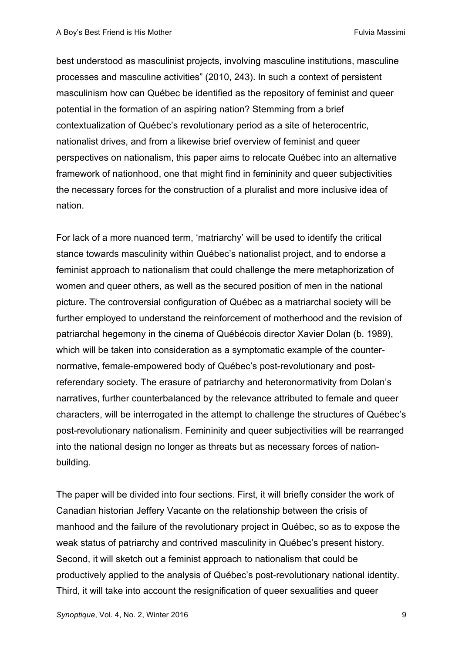best understood as masculinist projects, involving masculine institutions, masculine processes and masculine activities" (2010, 243). In such a context of persistent masculinism how can Québec be identified as the repository of feminist and queer potential in the formation of an aspiring nation? Stemming from a brief contextualization of Québec's revolutionary period as a site of heterocentric, nationalist drives, and from a likewise brief overview of feminist and queer perspectives on nationalism, this paper aims to relocate Québec into an alternative framework of nationhood, one that might find in femininity and queer subjectivities the necessary forces for the construction of a pluralist and more inclusive idea of nation.

For lack of a more nuanced term, 'matriarchy' will be used to identify the critical stance towards masculinity within Québec's nationalist project, and to endorse a feminist approach to nationalism that could challenge the mere metaphorization of women and queer others, as well as the secured position of men in the national picture. The controversial configuration of Québec as a matriarchal society will be further employed to understand the reinforcement of motherhood and the revision of patriarchal hegemony in the cinema of Québécois director Xavier Dolan (b. 1989), which will be taken into consideration as a symptomatic example of the counternormative, female-empowered body of Québec's post-revolutionary and postreferendary society. The erasure of patriarchy and heteronormativity from Dolan's narratives, further counterbalanced by the relevance attributed to female and queer characters, will be interrogated in the attempt to challenge the structures of Québec's post-revolutionary nationalism. Femininity and queer subjectivities will be rearranged into the national design no longer as threats but as necessary forces of nationbuilding.

The paper will be divided into four sections. First, it will briefly consider the work of Canadian historian Jeffery Vacante on the relationship between the crisis of manhood and the failure of the revolutionary project in Québec, so as to expose the weak status of patriarchy and contrived masculinity in Québec's present history. Second, it will sketch out a feminist approach to nationalism that could be productively applied to the analysis of Québec's post-revolutionary national identity. Third, it will take into account the resignification of queer sexualities and queer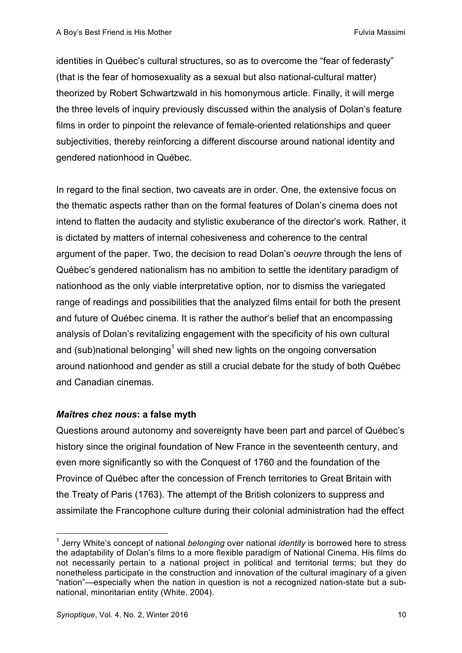identities in Québec's cultural structures, so as to overcome the "fear of federasty" (that is the fear of homosexuality as a sexual but also national-cultural matter) theorized by Robert Schwartzwald in his homonymous article. Finally, it will merge the three levels of inquiry previously discussed within the analysis of Dolan's feature films in order to pinpoint the relevance of female-oriented relationships and queer subjectivities, thereby reinforcing a different discourse around national identity and gendered nationhood in Québec.

In regard to the final section, two caveats are in order. One, the extensive focus on the thematic aspects rather than on the formal features of Dolan's cinema does not intend to flatten the audacity and stylistic exuberance of the director's work. Rather, it is dictated by matters of internal cohesiveness and coherence to the central argument of the paper. Two, the decision to read Dolan's *oeuvre* through the lens of Québec's gendered nationalism has no ambition to settle the identitary paradigm of nationhood as the only viable interpretative option, nor to dismiss the variegated range of readings and possibilities that the analyzed films entail for both the present and future of Québec cinema. It is rather the author's belief that an encompassing analysis of Dolan's revitalizing engagement with the specificity of his own cultural and (sub)national belonging<sup>1</sup> will shed new lights on the ongoing conversation around nationhood and gender as still a crucial debate for the study of both Québec and Canadian cinemas.

## *Maîtres chez nous***: a false myth**

Questions around autonomy and sovereignty have been part and parcel of Québec's history since the original foundation of New France in the seventeenth century, and even more significantly so with the Conquest of 1760 and the foundation of the Province of Québec after the concession of French territories to Great Britain with the Treaty of Paris (1763). The attempt of the British colonizers to suppress and assimilate the Francophone culture during their colonial administration had the effect

<sup>1</sup> Jerry White's concept of national *belonging* over national *identity* is borrowed here to stress the adaptability of Dolan's films to a more flexible paradigm of National Cinema. His films do not necessarily pertain to a national project in political and territorial terms; but they do nonetheless participate in the construction and innovation of the cultural imaginary of a given "nation"—especially when the nation in question is not a recognized nation-state but a subnational, minoritarian entity (White, 2004).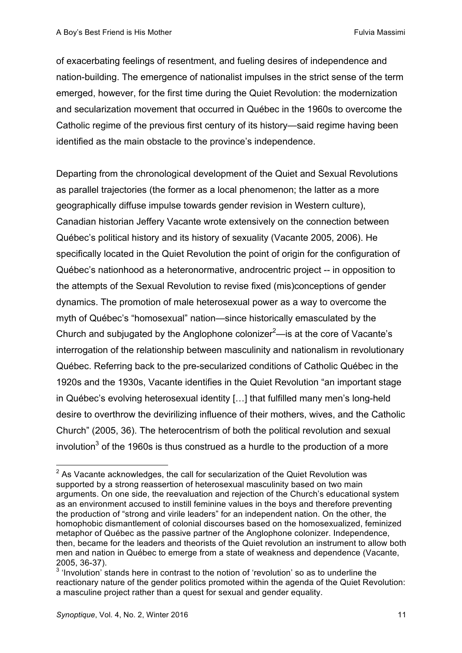of exacerbating feelings of resentment, and fueling desires of independence and nation-building. The emergence of nationalist impulses in the strict sense of the term emerged, however, for the first time during the Quiet Revolution: the modernization and secularization movement that occurred in Québec in the 1960s to overcome the Catholic regime of the previous first century of its history—said regime having been identified as the main obstacle to the province's independence.

Departing from the chronological development of the Quiet and Sexual Revolutions as parallel trajectories (the former as a local phenomenon; the latter as a more geographically diffuse impulse towards gender revision in Western culture), Canadian historian Jeffery Vacante wrote extensively on the connection between Québec's political history and its history of sexuality (Vacante 2005, 2006). He specifically located in the Quiet Revolution the point of origin for the configuration of Québec's nationhood as a heteronormative, androcentric project -- in opposition to the attempts of the Sexual Revolution to revise fixed (mis)conceptions of gender dynamics. The promotion of male heterosexual power as a way to overcome the myth of Québec's "homosexual" nation—since historically emasculated by the Church and subjugated by the Anglophone colonizer $^2$ —is at the core of Vacante's interrogation of the relationship between masculinity and nationalism in revolutionary Québec. Referring back to the pre-secularized conditions of Catholic Québec in the 1920s and the 1930s, Vacante identifies in the Quiet Revolution "an important stage in Québec's evolving heterosexual identity […] that fulfilled many men's long-held desire to overthrow the devirilizing influence of their mothers, wives, and the Catholic Church" (2005, 36). The heterocentrism of both the political revolution and sexual involution $3$  of the 1960s is thus construed as a hurdle to the production of a more

 $2$  As Vacante acknowledges, the call for secularization of the Quiet Revolution was supported by a strong reassertion of heterosexual masculinity based on two main arguments. On one side, the reevaluation and rejection of the Church's educational system as an environment accused to instill feminine values in the boys and therefore preventing the production of "strong and virile leaders" for an independent nation. On the other, the homophobic dismantlement of colonial discourses based on the homosexualized, feminized metaphor of Québec as the passive partner of the Anglophone colonizer. Independence, then, became for the leaders and theorists of the Quiet revolution an instrument to allow both men and nation in Québec to emerge from a state of weakness and dependence (Vacante, 2005, 36-37).

 $3$  'Involution' stands here in contrast to the notion of 'revolution' so as to underline the reactionary nature of the gender politics promoted within the agenda of the Quiet Revolution: a masculine project rather than a quest for sexual and gender equality.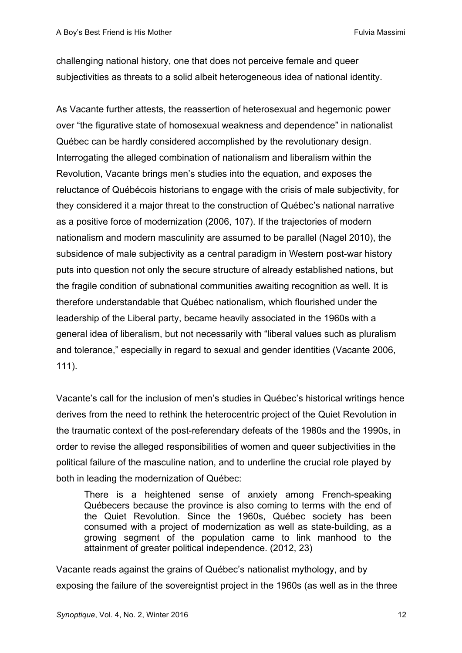challenging national history, one that does not perceive female and queer subjectivities as threats to a solid albeit heterogeneous idea of national identity.

As Vacante further attests, the reassertion of heterosexual and hegemonic power over "the figurative state of homosexual weakness and dependence" in nationalist Québec can be hardly considered accomplished by the revolutionary design. Interrogating the alleged combination of nationalism and liberalism within the Revolution, Vacante brings men's studies into the equation, and exposes the reluctance of Québécois historians to engage with the crisis of male subjectivity, for they considered it a major threat to the construction of Québec's national narrative as a positive force of modernization (2006, 107). If the trajectories of modern nationalism and modern masculinity are assumed to be parallel (Nagel 2010), the subsidence of male subjectivity as a central paradigm in Western post-war history puts into question not only the secure structure of already established nations, but the fragile condition of subnational communities awaiting recognition as well. It is therefore understandable that Québec nationalism, which flourished under the leadership of the Liberal party, became heavily associated in the 1960s with a general idea of liberalism, but not necessarily with "liberal values such as pluralism and tolerance," especially in regard to sexual and gender identities (Vacante 2006, 111).

Vacante's call for the inclusion of men's studies in Québec's historical writings hence derives from the need to rethink the heterocentric project of the Quiet Revolution in the traumatic context of the post-referendary defeats of the 1980s and the 1990s, in order to revise the alleged responsibilities of women and queer subjectivities in the political failure of the masculine nation, and to underline the crucial role played by both in leading the modernization of Québec:

There is a heightened sense of anxiety among French-speaking Québecers because the province is also coming to terms with the end of the Quiet Revolution. Since the 1960s, Québec society has been consumed with a project of modernization as well as state-building, as a growing segment of the population came to link manhood to the attainment of greater political independence. (2012, 23)

Vacante reads against the grains of Québec's nationalist mythology, and by exposing the failure of the sovereigntist project in the 1960s (as well as in the three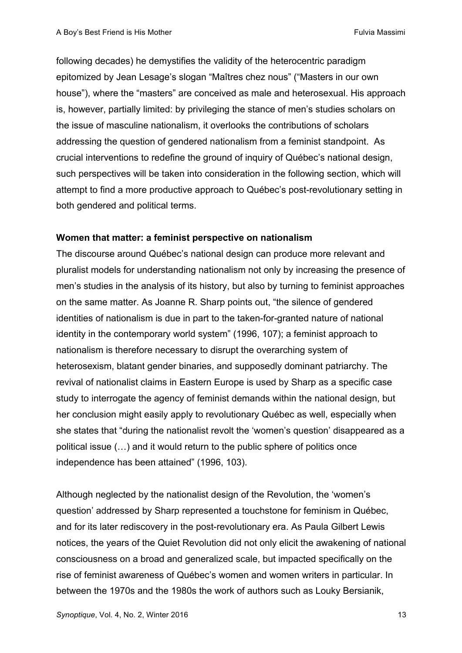following decades) he demystifies the validity of the heterocentric paradigm epitomized by Jean Lesage's slogan "Maîtres chez nous" ("Masters in our own house"), where the "masters" are conceived as male and heterosexual. His approach is, however, partially limited: by privileging the stance of men's studies scholars on the issue of masculine nationalism, it overlooks the contributions of scholars addressing the question of gendered nationalism from a feminist standpoint. As crucial interventions to redefine the ground of inquiry of Québec's national design, such perspectives will be taken into consideration in the following section, which will attempt to find a more productive approach to Québec's post-revolutionary setting in both gendered and political terms.

#### **Women that matter: a feminist perspective on nationalism**

The discourse around Québec's national design can produce more relevant and pluralist models for understanding nationalism not only by increasing the presence of men's studies in the analysis of its history, but also by turning to feminist approaches on the same matter. As Joanne R. Sharp points out, "the silence of gendered identities of nationalism is due in part to the taken-for-granted nature of national identity in the contemporary world system" (1996, 107); a feminist approach to nationalism is therefore necessary to disrupt the overarching system of heterosexism, blatant gender binaries, and supposedly dominant patriarchy. The revival of nationalist claims in Eastern Europe is used by Sharp as a specific case study to interrogate the agency of feminist demands within the national design, but her conclusion might easily apply to revolutionary Québec as well, especially when she states that "during the nationalist revolt the 'women's question' disappeared as a political issue (…) and it would return to the public sphere of politics once independence has been attained" (1996, 103).

Although neglected by the nationalist design of the Revolution, the 'women's question' addressed by Sharp represented a touchstone for feminism in Québec, and for its later rediscovery in the post-revolutionary era. As Paula Gilbert Lewis notices, the years of the Quiet Revolution did not only elicit the awakening of national consciousness on a broad and generalized scale, but impacted specifically on the rise of feminist awareness of Québec's women and women writers in particular. In between the 1970s and the 1980s the work of authors such as Louky Bersianik,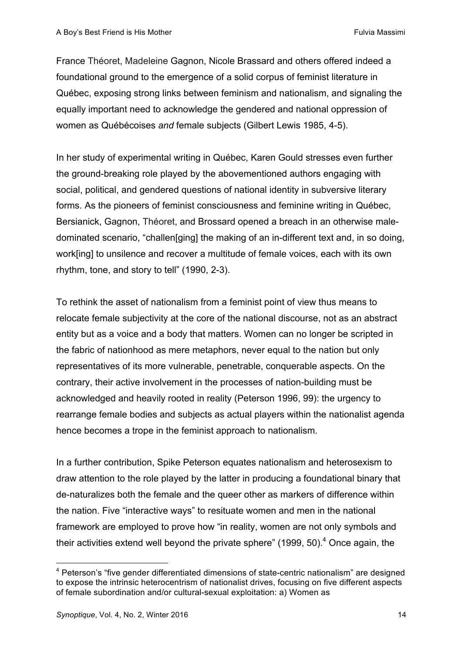France Théoret, Madeleine Gagnon, Nicole Brassard and others offered indeed a foundational ground to the emergence of a solid corpus of feminist literature in Québec, exposing strong links between feminism and nationalism, and signaling the equally important need to acknowledge the gendered and national oppression of women as Québécoises *and* female subjects (Gilbert Lewis 1985, 4-5).

In her study of experimental writing in Québec, Karen Gould stresses even further the ground-breaking role played by the abovementioned authors engaging with social, political, and gendered questions of national identity in subversive literary forms. As the pioneers of feminist consciousness and feminine writing in Québec, Bersianick, Gagnon, Théoret, and Brossard opened a breach in an otherwise maledominated scenario, "challen[ging] the making of an in-different text and, in so doing, work[ing] to unsilence and recover a multitude of female voices, each with its own rhythm, tone, and story to tell" (1990, 2-3).

To rethink the asset of nationalism from a feminist point of view thus means to relocate female subjectivity at the core of the national discourse, not as an abstract entity but as a voice and a body that matters. Women can no longer be scripted in the fabric of nationhood as mere metaphors, never equal to the nation but only representatives of its more vulnerable, penetrable, conquerable aspects. On the contrary, their active involvement in the processes of nation-building must be acknowledged and heavily rooted in reality (Peterson 1996, 99): the urgency to rearrange female bodies and subjects as actual players within the nationalist agenda hence becomes a trope in the feminist approach to nationalism.

In a further contribution, Spike Peterson equates nationalism and heterosexism to draw attention to the role played by the latter in producing a foundational binary that de-naturalizes both the female and the queer other as markers of difference within the nation. Five "interactive ways" to resituate women and men in the national framework are employed to prove how "in reality, women are not only symbols and their activities extend well beyond the private sphere" (1999, 50). $<sup>4</sup>$  Once again, the</sup>

<sup>&</sup>lt;sup>4</sup> Peterson's "five gender differentiated dimensions of state-centric nationalism" are designed to expose the intrinsic heterocentrism of nationalist drives, focusing on five different aspects of female subordination and/or cultural-sexual exploitation: a) Women as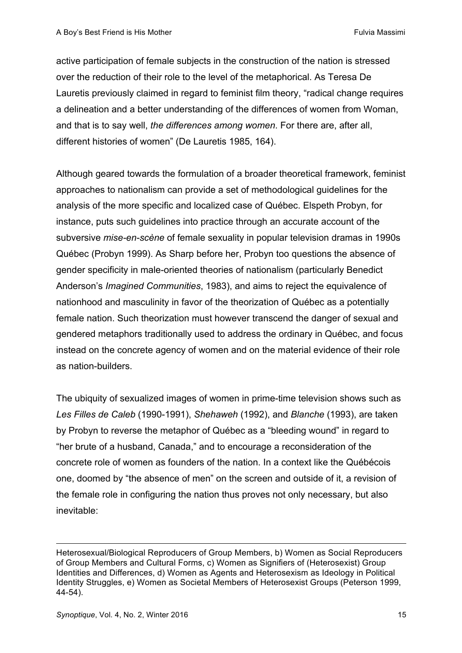active participation of female subjects in the construction of the nation is stressed over the reduction of their role to the level of the metaphorical. As Teresa De Lauretis previously claimed in regard to feminist film theory, "radical change requires a delineation and a better understanding of the differences of women from Woman, and that is to say well, *the differences among women*. For there are, after all, different histories of women" (De Lauretis 1985, 164).

Although geared towards the formulation of a broader theoretical framework, feminist approaches to nationalism can provide a set of methodological guidelines for the analysis of the more specific and localized case of Québec. Elspeth Probyn, for instance, puts such guidelines into practice through an accurate account of the subversive *mise-en-scène* of female sexuality in popular television dramas in 1990s Québec (Probyn 1999). As Sharp before her, Probyn too questions the absence of gender specificity in male-oriented theories of nationalism (particularly Benedict Anderson's *Imagined Communities*, 1983), and aims to reject the equivalence of nationhood and masculinity in favor of the theorization of Québec as a potentially female nation. Such theorization must however transcend the danger of sexual and gendered metaphors traditionally used to address the ordinary in Québec, and focus instead on the concrete agency of women and on the material evidence of their role as nation-builders.

The ubiquity of sexualized images of women in prime-time television shows such as *Les Filles de Caleb* (1990-1991), *Shehaweh* (1992), and *Blanche* (1993), are taken by Probyn to reverse the metaphor of Québec as a "bleeding wound" in regard to "her brute of a husband, Canada," and to encourage a reconsideration of the concrete role of women as founders of the nation. In a context like the Québécois one, doomed by "the absence of men" on the screen and outside of it, a revision of the female role in configuring the nation thus proves not only necessary, but also inevitable:

 $\overline{a}$ 

Heterosexual/Biological Reproducers of Group Members, b) Women as Social Reproducers of Group Members and Cultural Forms, c) Women as Signifiers of (Heterosexist) Group Identities and Differences, d) Women as Agents and Heterosexism as Ideology in Political Identity Struggles, e) Women as Societal Members of Heterosexist Groups (Peterson 1999, 44-54).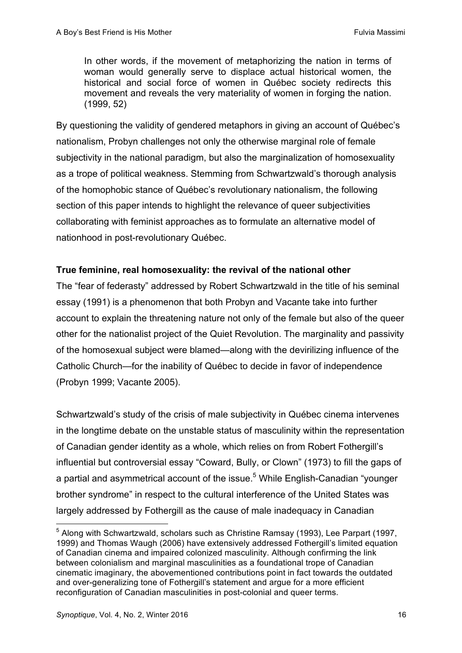In other words, if the movement of metaphorizing the nation in terms of woman would generally serve to displace actual historical women, the historical and social force of women in Québec society redirects this movement and reveals the very materiality of women in forging the nation. (1999, 52)

By questioning the validity of gendered metaphors in giving an account of Québec's nationalism, Probyn challenges not only the otherwise marginal role of female subiectivity in the national paradigm, but also the marginalization of homosexuality as a trope of political weakness. Stemming from Schwartzwald's thorough analysis of the homophobic stance of Québec's revolutionary nationalism, the following section of this paper intends to highlight the relevance of queer subjectivities collaborating with feminist approaches as to formulate an alternative model of nationhood in post-revolutionary Québec.

## **True feminine, real homosexuality: the revival of the national other**

The "fear of federasty" addressed by Robert Schwartzwald in the title of his seminal essay (1991) is a phenomenon that both Probyn and Vacante take into further account to explain the threatening nature not only of the female but also of the queer other for the nationalist project of the Quiet Revolution. The marginality and passivity of the homosexual subject were blamed—along with the devirilizing influence of the Catholic Church—for the inability of Québec to decide in favor of independence (Probyn 1999; Vacante 2005).

Schwartzwald's study of the crisis of male subjectivity in Québec cinema intervenes in the longtime debate on the unstable status of masculinity within the representation of Canadian gender identity as a whole, which relies on from Robert Fothergill's influential but controversial essay "Coward, Bully, or Clown" (1973) to fill the gaps of a partial and asymmetrical account of the issue.<sup>5</sup> While English-Canadian "younger brother syndrome" in respect to the cultural interference of the United States was largely addressed by Fothergill as the cause of male inadequacy in Canadian

<sup>&</sup>lt;sup>5</sup> Along with Schwartzwald, scholars such as Christine Ramsay (1993), Lee Parpart (1997, 1999) and Thomas Waugh (2006) have extensively addressed Fothergill's limited equation of Canadian cinema and impaired colonized masculinity. Although confirming the link between colonialism and marginal masculinities as a foundational trope of Canadian cinematic imaginary, the abovementioned contributions point in fact towards the outdated and over-generalizing tone of Fothergill's statement and argue for a more efficient reconfiguration of Canadian masculinities in post-colonial and queer terms.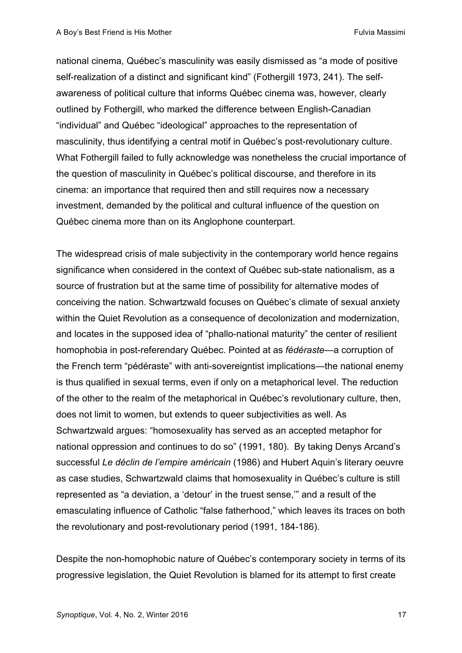national cinema, Québec's masculinity was easily dismissed as "a mode of positive self-realization of a distinct and significant kind" (Fothergill 1973, 241). The selfawareness of political culture that informs Québec cinema was, however, clearly outlined by Fothergill, who marked the difference between English-Canadian "individual" and Québec "ideological" approaches to the representation of masculinity, thus identifying a central motif in Québec's post-revolutionary culture. What Fothergill failed to fully acknowledge was nonetheless the crucial importance of the question of masculinity in Québec's political discourse, and therefore in its cinema: an importance that required then and still requires now a necessary investment, demanded by the political and cultural influence of the question on Québec cinema more than on its Anglophone counterpart.

The widespread crisis of male subjectivity in the contemporary world hence regains significance when considered in the context of Québec sub-state nationalism, as a source of frustration but at the same time of possibility for alternative modes of conceiving the nation. Schwartzwald focuses on Québec's climate of sexual anxiety within the Quiet Revolution as a consequence of decolonization and modernization, and locates in the supposed idea of "phallo-national maturity" the center of resilient homophobia in post-referendary Québec. Pointed at as *fédéraste*—a corruption of the French term "pédéraste" with anti-sovereigntist implications—the national enemy is thus qualified in sexual terms, even if only on a metaphorical level. The reduction of the other to the realm of the metaphorical in Québec's revolutionary culture, then, does not limit to women, but extends to queer subjectivities as well. As Schwartzwald argues: "homosexuality has served as an accepted metaphor for national oppression and continues to do so" (1991, 180). By taking Denys Arcand's successful *Le déclin de l'empire américain* (1986) and Hubert Aquin's literary oeuvre as case studies, Schwartzwald claims that homosexuality in Québec's culture is still represented as "a deviation, a 'detour' in the truest sense,'" and a result of the emasculating influence of Catholic "false fatherhood," which leaves its traces on both the revolutionary and post-revolutionary period (1991, 184-186).

Despite the non-homophobic nature of Québec's contemporary society in terms of its progressive legislation, the Quiet Revolution is blamed for its attempt to first create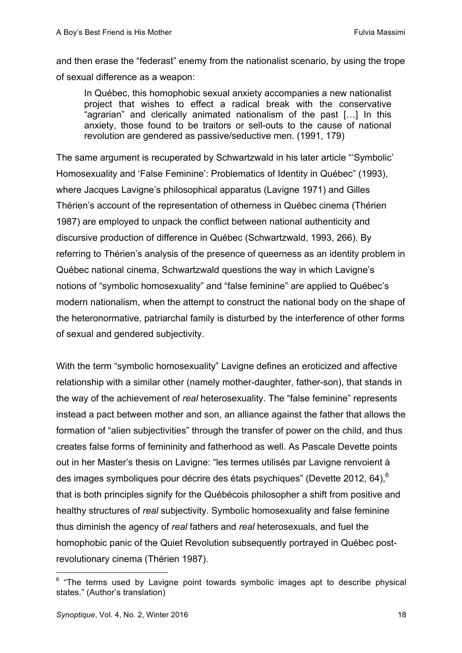and then erase the "federast" enemy from the nationalist scenario, by using the trope of sexual difference as a weapon:

In Québec, this homophobic sexual anxiety accompanies a new nationalist project that wishes to effect a radical break with the conservative "agrarian" and clerically animated nationalism of the past […] In this anxiety, those found to be traitors or sell-outs to the cause of national revolution are gendered as passive/seductive men. (1991, 179)

The same argument is recuperated by Schwartzwald in his later article "'Symbolic' Homosexuality and 'False Feminine': Problematics of Identity in Québec" (1993), where Jacques Lavigne's philosophical apparatus (Lavigne 1971) and Gilles Thérien's account of the representation of otherness in Québec cinema (Thérien 1987) are employed to unpack the conflict between national authenticity and discursive production of difference in Québec (Schwartzwald, 1993, 266). By referring to Thérien's analysis of the presence of queerness as an identity problem in Québec national cinema, Schwartzwald questions the way in which Lavigne's notions of "symbolic homosexuality" and "false feminine" are applied to Québec's modern nationalism, when the attempt to construct the national body on the shape of the heteronormative, patriarchal family is disturbed by the interference of other forms of sexual and gendered subjectivity.

With the term "symbolic homosexuality" Lavigne defines an eroticized and affective relationship with a similar other (namely mother-daughter, father-son), that stands in the way of the achievement of *real* heterosexuality. The "false feminine" represents instead a pact between mother and son, an alliance against the father that allows the formation of "alien subjectivities" through the transfer of power on the child, and thus creates false forms of femininity and fatherhood as well. As Pascale Devette points out in her Master's thesis on Lavigne: "les termes utilisés par Lavigne renvoient à des images symboliques pour décrire des états psychiques" (Devette 2012, 64),  $6$ that is both principles signify for the Québécois philosopher a shift from positive and healthy structures of *real* subjectivity. Symbolic homosexuality and false feminine thus diminish the agency of *real* fathers and *real* heterosexuals, and fuel the homophobic panic of the Quiet Revolution subsequently portrayed in Québec postrevolutionary cinema (Thérien 1987).

 $6$  "The terms used by Lavigne point towards symbolic images apt to describe physical states." (Author's translation)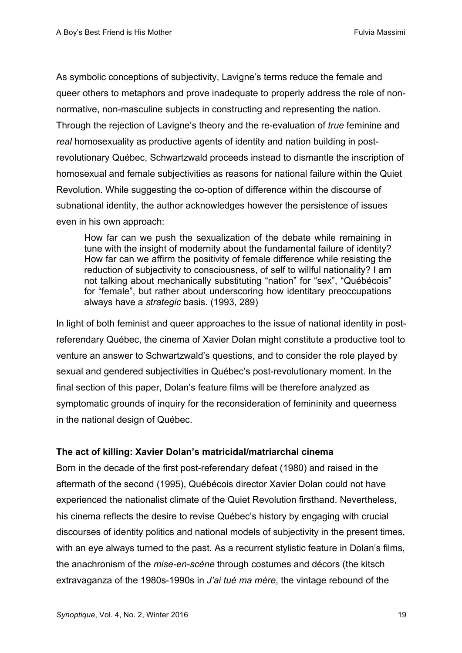As symbolic conceptions of subjectivity, Lavigne's terms reduce the female and queer others to metaphors and prove inadequate to properly address the role of nonnormative, non-masculine subjects in constructing and representing the nation. Through the rejection of Lavigne's theory and the re-evaluation of *true* feminine and *real* homosexuality as productive agents of identity and nation building in postrevolutionary Québec, Schwartzwald proceeds instead to dismantle the inscription of homosexual and female subjectivities as reasons for national failure within the Quiet Revolution. While suggesting the co-option of difference within the discourse of subnational identity, the author acknowledges however the persistence of issues even in his own approach:

How far can we push the sexualization of the debate while remaining in tune with the insight of modernity about the fundamental failure of identity? How far can we affirm the positivity of female difference while resisting the reduction of subjectivity to consciousness, of self to willful nationality? I am not talking about mechanically substituting "nation" for "sex", "Québécois" for "female", but rather about underscoring how identitary preoccupations always have a *strategic* basis. (1993, 289)

In light of both feminist and queer approaches to the issue of national identity in postreferendary Québec, the cinema of Xavier Dolan might constitute a productive tool to venture an answer to Schwartzwald's questions, and to consider the role played by sexual and gendered subjectivities in Québec's post-revolutionary moment. In the final section of this paper, Dolan's feature films will be therefore analyzed as symptomatic grounds of inquiry for the reconsideration of femininity and queerness in the national design of Québec.

#### **The act of killing: Xavier Dolan's matricidal/matriarchal cinema**

Born in the decade of the first post-referendary defeat (1980) and raised in the aftermath of the second (1995), Québécois director Xavier Dolan could not have experienced the nationalist climate of the Quiet Revolution firsthand. Nevertheless, his cinema reflects the desire to revise Québec's history by engaging with crucial discourses of identity politics and national models of subjectivity in the present times, with an eye always turned to the past. As a recurrent stylistic feature in Dolan's films, the anachronism of the *mise-en-scène* through costumes and décors (the kitsch extravaganza of the 1980s-1990s in *J'ai tué ma mère*, the vintage rebound of the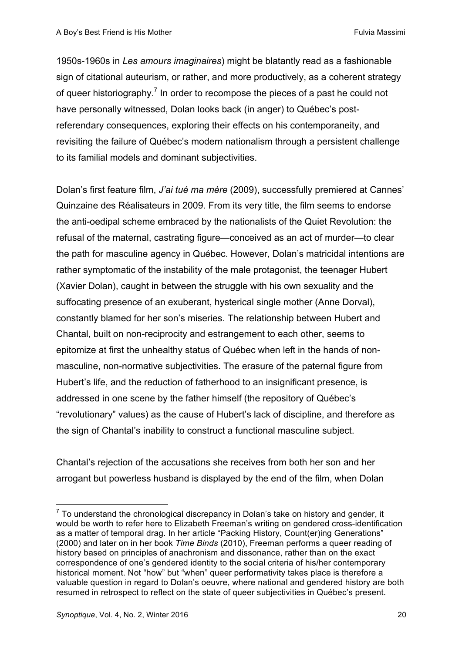1950s-1960s in *Les amours imaginaires*) might be blatantly read as a fashionable sign of citational auteurism, or rather, and more productively, as a coherent strategy of queer historiography.<sup>7</sup> In order to recompose the pieces of a past he could not have personally witnessed, Dolan looks back (in anger) to Québec's postreferendary consequences, exploring their effects on his contemporaneity, and revisiting the failure of Québec's modern nationalism through a persistent challenge to its familial models and dominant subjectivities.

Dolan's first feature film, *J'ai tué ma mère* (2009), successfully premiered at Cannes' Quinzaine des Réalisateurs in 2009. From its very title, the film seems to endorse the anti-oedipal scheme embraced by the nationalists of the Quiet Revolution: the refusal of the maternal, castrating figure—conceived as an act of murder—to clear the path for masculine agency in Québec. However, Dolan's matricidal intentions are rather symptomatic of the instability of the male protagonist, the teenager Hubert (Xavier Dolan), caught in between the struggle with his own sexuality and the suffocating presence of an exuberant, hysterical single mother (Anne Dorval), constantly blamed for her son's miseries. The relationship between Hubert and Chantal, built on non-reciprocity and estrangement to each other, seems to epitomize at first the unhealthy status of Québec when left in the hands of nonmasculine, non-normative subjectivities. The erasure of the paternal figure from Hubert's life, and the reduction of fatherhood to an insignificant presence, is addressed in one scene by the father himself (the repository of Québec's "revolutionary" values) as the cause of Hubert's lack of discipline, and therefore as the sign of Chantal's inability to construct a functional masculine subject.

Chantal's rejection of the accusations she receives from both her son and her arrogant but powerless husband is displayed by the end of the film, when Dolan

 $7$  To understand the chronological discrepancy in Dolan's take on history and gender, it would be worth to refer here to Elizabeth Freeman's writing on gendered cross-identification as a matter of temporal drag. In her article "Packing History, Count(er)ing Generations" (2000) and later on in her book *Time Binds* (2010), Freeman performs a queer reading of history based on principles of anachronism and dissonance, rather than on the exact correspondence of one's gendered identity to the social criteria of his/her contemporary historical moment. Not "how" but "when" queer performativity takes place is therefore a valuable question in regard to Dolan's oeuvre, where national and gendered history are both resumed in retrospect to reflect on the state of queer subjectivities in Québec's present.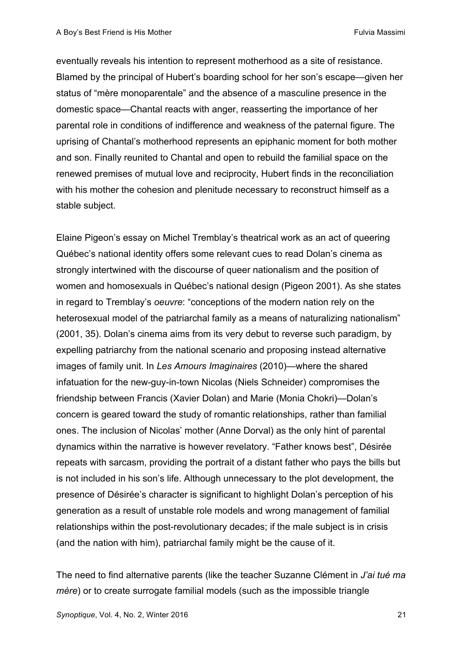eventually reveals his intention to represent motherhood as a site of resistance. Blamed by the principal of Hubert's boarding school for her son's escape—given her status of "mère monoparentale" and the absence of a masculine presence in the domestic space—Chantal reacts with anger, reasserting the importance of her parental role in conditions of indifference and weakness of the paternal figure. The uprising of Chantal's motherhood represents an epiphanic moment for both mother and son. Finally reunited to Chantal and open to rebuild the familial space on the renewed premises of mutual love and reciprocity, Hubert finds in the reconciliation with his mother the cohesion and plenitude necessary to reconstruct himself as a stable subject.

Elaine Pigeon's essay on Michel Tremblay's theatrical work as an act of queering Québec's national identity offers some relevant cues to read Dolan's cinema as strongly intertwined with the discourse of queer nationalism and the position of women and homosexuals in Québec's national design (Pigeon 2001). As she states in regard to Tremblay's *oeuvre*: "conceptions of the modern nation rely on the heterosexual model of the patriarchal family as a means of naturalizing nationalism" (2001, 35). Dolan's cinema aims from its very debut to reverse such paradigm, by expelling patriarchy from the national scenario and proposing instead alternative images of family unit. In *Les Amours Imaginaires* (2010)—where the shared infatuation for the new-guy-in-town Nicolas (Niels Schneider) compromises the friendship between Francis (Xavier Dolan) and Marie (Monia Chokri)—Dolan's concern is geared toward the study of romantic relationships, rather than familial ones. The inclusion of Nicolas' mother (Anne Dorval) as the only hint of parental dynamics within the narrative is however revelatory. "Father knows best", Désirée repeats with sarcasm, providing the portrait of a distant father who pays the bills but is not included in his son's life. Although unnecessary to the plot development, the presence of Désirée's character is significant to highlight Dolan's perception of his generation as a result of unstable role models and wrong management of familial relationships within the post-revolutionary decades; if the male subject is in crisis (and the nation with him), patriarchal family might be the cause of it.

The need to find alternative parents (like the teacher Suzanne Clément in *J'ai tué ma mère*) or to create surrogate familial models (such as the impossible triangle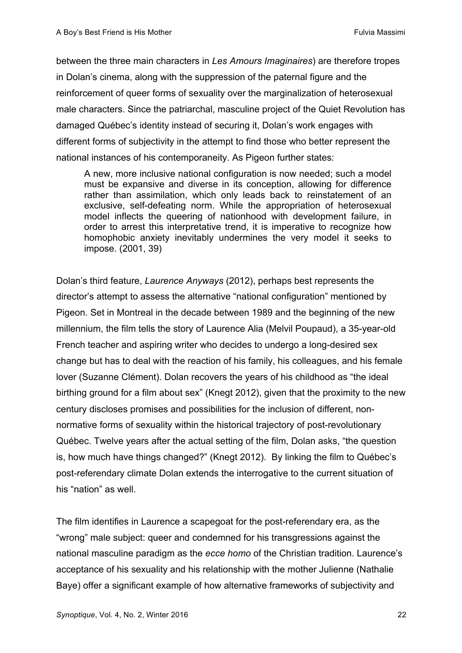between the three main characters in *Les Amours Imaginaires*) are therefore tropes in Dolan's cinema, along with the suppression of the paternal figure and the reinforcement of queer forms of sexuality over the marginalization of heterosexual male characters. Since the patriarchal, masculine project of the Quiet Revolution has damaged Québec's identity instead of securing it, Dolan's work engages with different forms of subjectivity in the attempt to find those who better represent the national instances of his contemporaneity. As Pigeon further states:

A new, more inclusive national configuration is now needed; such a model must be expansive and diverse in its conception, allowing for difference rather than assimilation, which only leads back to reinstatement of an exclusive, self-defeating norm. While the appropriation of heterosexual model inflects the queering of nationhood with development failure, in order to arrest this interpretative trend, it is imperative to recognize how homophobic anxiety inevitably undermines the very model it seeks to impose. (2001, 39)

Dolan's third feature, *Laurence Anyways* (2012), perhaps best represents the director's attempt to assess the alternative "national configuration" mentioned by Pigeon. Set in Montreal in the decade between 1989 and the beginning of the new millennium, the film tells the story of Laurence Alia (Melvil Poupaud), a 35-year-old French teacher and aspiring writer who decides to undergo a long-desired sex change but has to deal with the reaction of his family, his colleagues, and his female lover (Suzanne Clément). Dolan recovers the years of his childhood as "the ideal birthing ground for a film about sex" (Knegt 2012), given that the proximity to the new century discloses promises and possibilities for the inclusion of different, nonnormative forms of sexuality within the historical trajectory of post-revolutionary Québec. Twelve years after the actual setting of the film, Dolan asks, "the question is, how much have things changed?" (Knegt 2012). By linking the film to Québec's post-referendary climate Dolan extends the interrogative to the current situation of his "nation" as well.

The film identifies in Laurence a scapegoat for the post-referendary era, as the "wrong" male subject: queer and condemned for his transgressions against the national masculine paradigm as the *ecce homo* of the Christian tradition. Laurence's acceptance of his sexuality and his relationship with the mother Julienne (Nathalie Baye) offer a significant example of how alternative frameworks of subjectivity and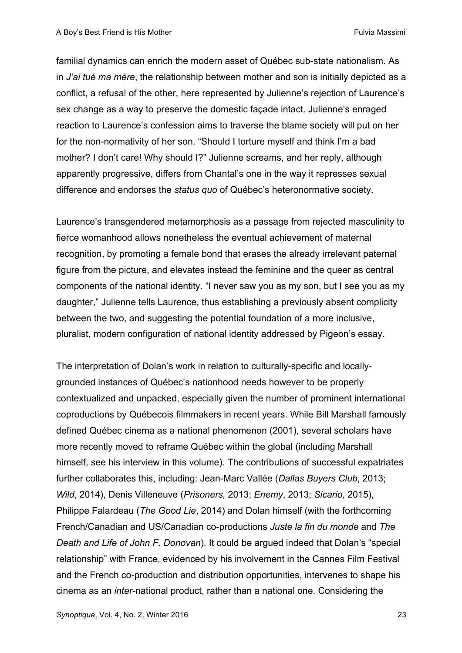familial dynamics can enrich the modern asset of Québec sub-state nationalism. As in *J'ai tué ma mère*, the relationship between mother and son is initially depicted as a conflict, a refusal of the other, here represented by Julienne's rejection of Laurence's sex change as a way to preserve the domestic façade intact. Julienne's enraged reaction to Laurence's confession aims to traverse the blame society will put on her for the non-normativity of her son. "Should I torture myself and think I'm a bad mother? I don't care! Why should I?" Julienne screams, and her reply, although apparently progressive, differs from Chantal's one in the way it represses sexual difference and endorses the *status quo* of Québec's heteronormative society.

Laurence's transgendered metamorphosis as a passage from rejected masculinity to fierce womanhood allows nonetheless the eventual achievement of maternal recognition, by promoting a female bond that erases the already irrelevant paternal figure from the picture, and elevates instead the feminine and the queer as central components of the national identity. "I never saw you as my son, but I see you as my daughter," Julienne tells Laurence, thus establishing a previously absent complicity between the two, and suggesting the potential foundation of a more inclusive, pluralist, modern configuration of national identity addressed by Pigeon's essay.

The interpretation of Dolan's work in relation to culturally-specific and locallygrounded instances of Québec's nationhood needs however to be properly contextualized and unpacked, especially given the number of prominent international coproductions by Québecois filmmakers in recent years. While Bill Marshall famously defined Québec cinema as a national phenomenon (2001), several scholars have more recently moved to reframe Québec within the global (including Marshall himself, see his interview in this volume). The contributions of successful expatriates further collaborates this, including: Jean-Marc Vallée (*Dallas Buyers Club*, 2013; *Wild*, 2014), Denis Villeneuve (*Prisoners,* 2013; *Enemy*, 2013; *Sicario*, 2015), Philippe Falardeau (*The Good Lie*, 2014) and Dolan himself (with the forthcoming French/Canadian and US/Canadian co-productions *Juste la fin du monde* and *The Death and Life of John F. Donovan*). It could be argued indeed that Dolan's "special relationship" with France, evidenced by his involvement in the Cannes Film Festival and the French co-production and distribution opportunities, intervenes to shape his cinema as an *inter-*national product, rather than a national one. Considering the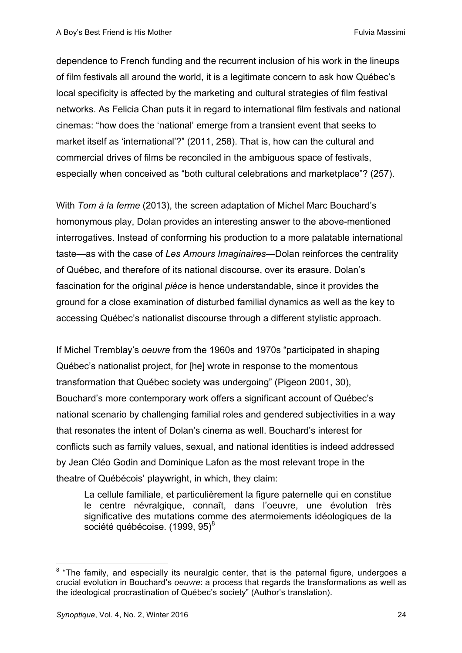dependence to French funding and the recurrent inclusion of his work in the lineups of film festivals all around the world, it is a legitimate concern to ask how Québec's local specificity is affected by the marketing and cultural strategies of film festival networks. As Felicia Chan puts it in regard to international film festivals and national cinemas: "how does the 'national' emerge from a transient event that seeks to market itself as 'international'?" (2011, 258). That is, how can the cultural and commercial drives of films be reconciled in the ambiguous space of festivals, especially when conceived as "both cultural celebrations and marketplace"? (257).

With *Tom à la ferme* (2013), the screen adaptation of Michel Marc Bouchard's homonymous play, Dolan provides an interesting answer to the above-mentioned interrogatives. Instead of conforming his production to a more palatable international taste—as with the case of *Les Amours Imaginaires*—Dolan reinforces the centrality of Québec, and therefore of its national discourse, over its erasure. Dolan's fascination for the original *pièce* is hence understandable, since it provides the ground for a close examination of disturbed familial dynamics as well as the key to accessing Québec's nationalist discourse through a different stylistic approach.

If Michel Tremblay's *oeuvre* from the 1960s and 1970s "participated in shaping Québec's nationalist project, for [he] wrote in response to the momentous transformation that Québec society was undergoing" (Pigeon 2001, 30), Bouchard's more contemporary work offers a significant account of Québec's national scenario by challenging familial roles and gendered subjectivities in a way that resonates the intent of Dolan's cinema as well. Bouchard's interest for conflicts such as family values, sexual, and national identities is indeed addressed by Jean Cléo Godin and Dominique Lafon as the most relevant trope in the theatre of Québécois' playwright, in which, they claim:

La cellule familiale, et particulièrement la figure paternelle qui en constitue le centre névralgique, connaît, dans l'oeuvre, une évolution très significative des mutations comme des atermoiements idéologiques de la société québécoise. (1999, 95)<sup>8</sup>

 $8$  "The family, and especially its neuralgic center, that is the paternal figure, undergoes a crucial evolution in Bouchard's *oeuvre*: a process that regards the transformations as well as the ideological procrastination of Québec's society" (Author's translation).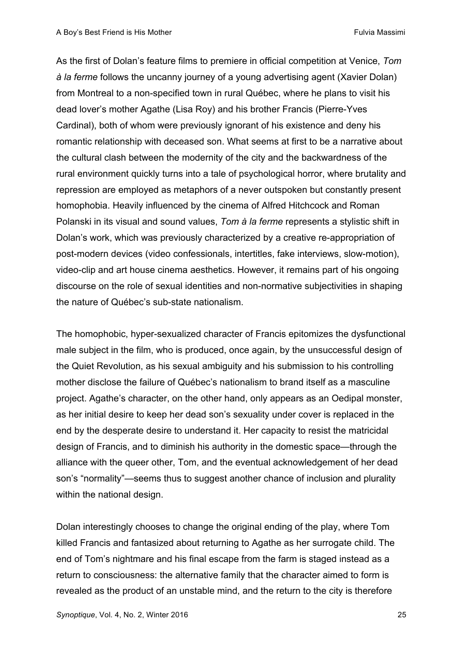As the first of Dolan's feature films to premiere in official competition at Venice, *Tom à la ferme* follows the uncanny journey of a young advertising agent (Xavier Dolan) from Montreal to a non-specified town in rural Québec, where he plans to visit his dead lover's mother Agathe (Lisa Roy) and his brother Francis (Pierre-Yves Cardinal), both of whom were previously ignorant of his existence and deny his romantic relationship with deceased son. What seems at first to be a narrative about the cultural clash between the modernity of the city and the backwardness of the rural environment quickly turns into a tale of psychological horror, where brutality and repression are employed as metaphors of a never outspoken but constantly present homophobia. Heavily influenced by the cinema of Alfred Hitchcock and Roman Polanski in its visual and sound values, *Tom à la ferme* represents a stylistic shift in Dolan's work, which was previously characterized by a creative re-appropriation of post-modern devices (video confessionals, intertitles, fake interviews, slow-motion), video-clip and art house cinema aesthetics. However, it remains part of his ongoing discourse on the role of sexual identities and non-normative subjectivities in shaping the nature of Québec's sub-state nationalism.

The homophobic, hyper-sexualized character of Francis epitomizes the dysfunctional male subject in the film, who is produced, once again, by the unsuccessful design of the Quiet Revolution, as his sexual ambiguity and his submission to his controlling mother disclose the failure of Québec's nationalism to brand itself as a masculine project. Agathe's character, on the other hand, only appears as an Oedipal monster, as her initial desire to keep her dead son's sexuality under cover is replaced in the end by the desperate desire to understand it. Her capacity to resist the matricidal design of Francis, and to diminish his authority in the domestic space—through the alliance with the queer other, Tom, and the eventual acknowledgement of her dead son's "normality"—seems thus to suggest another chance of inclusion and plurality within the national design.

Dolan interestingly chooses to change the original ending of the play, where Tom killed Francis and fantasized about returning to Agathe as her surrogate child. The end of Tom's nightmare and his final escape from the farm is staged instead as a return to consciousness: the alternative family that the character aimed to form is revealed as the product of an unstable mind, and the return to the city is therefore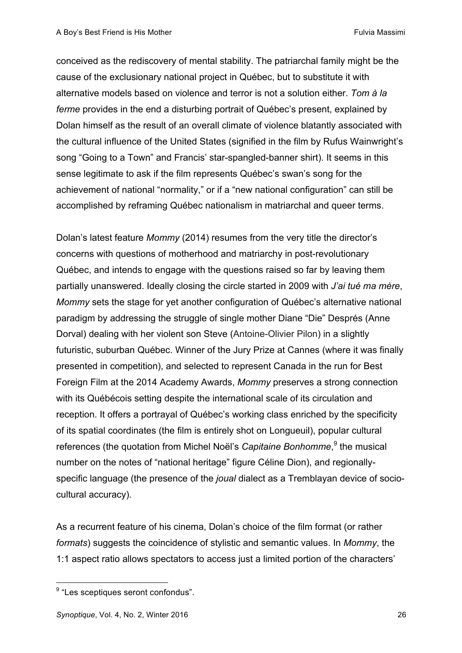conceived as the rediscovery of mental stability. The patriarchal family might be the cause of the exclusionary national project in Québec, but to substitute it with alternative models based on violence and terror is not a solution either. *Tom à la ferme* provides in the end a disturbing portrait of Québec's present, explained by Dolan himself as the result of an overall climate of violence blatantly associated with the cultural influence of the United States (signified in the film by Rufus Wainwright's song "Going to a Town" and Francis' star-spangled-banner shirt). It seems in this sense legitimate to ask if the film represents Québec's swan's song for the achievement of national "normality," or if a "new national configuration" can still be accomplished by reframing Québec nationalism in matriarchal and queer terms.

Dolan's latest feature *Mommy* (2014) resumes from the very title the director's concerns with questions of motherhood and matriarchy in post-revolutionary Québec, and intends to engage with the questions raised so far by leaving them partially unanswered. Ideally closing the circle started in 2009 with *J'ai tué ma mère*, *Mommy* sets the stage for yet another configuration of Québec's alternative national paradigm by addressing the struggle of single mother Diane "Die" Després (Anne Dorval) dealing with her violent son Steve (Antoine-Olivier Pilon) in a slightly futuristic, suburban Québec. Winner of the Jury Prize at Cannes (where it was finally presented in competition), and selected to represent Canada in the run for Best Foreign Film at the 2014 Academy Awards, *Mommy* preserves a strong connection with its Québécois setting despite the international scale of its circulation and reception. It offers a portrayal of Québec's working class enriched by the specificity of its spatial coordinates (the film is entirely shot on Longueuil), popular cultural references (the quotation from Michel Noël's *Capitaine Bonhomme*, <sup>9</sup> the musical number on the notes of "national heritage" figure Céline Dion), and regionallyspecific language (the presence of the *joual* dialect as a Tremblayan device of sociocultural accuracy).

As a recurrent feature of his cinema, Dolan's choice of the film format (or rather *formats*) suggests the coincidence of stylistic and semantic values. In *Mommy*, the 1:1 aspect ratio allows spectators to access just a limited portion of the characters'

<sup>&</sup>lt;sup>9</sup> "Les sceptiques seront confondus".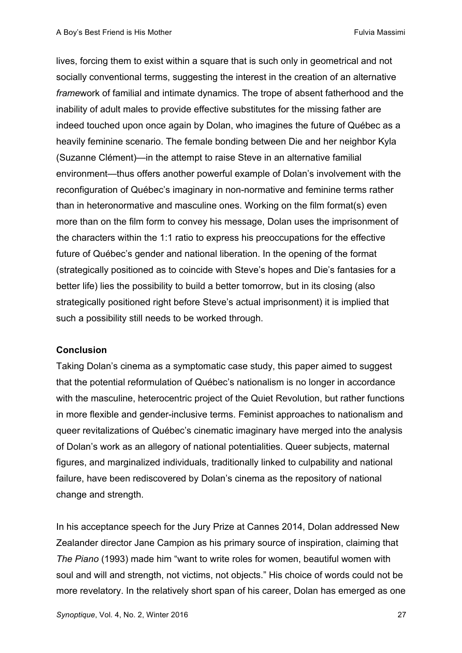lives, forcing them to exist within a square that is such only in geometrical and not socially conventional terms, suggesting the interest in the creation of an alternative *frame*work of familial and intimate dynamics. The trope of absent fatherhood and the inability of adult males to provide effective substitutes for the missing father are indeed touched upon once again by Dolan, who imagines the future of Québec as a heavily feminine scenario. The female bonding between Die and her neighbor Kyla (Suzanne Clément)—in the attempt to raise Steve in an alternative familial environment—thus offers another powerful example of Dolan's involvement with the reconfiguration of Québec's imaginary in non-normative and feminine terms rather than in heteronormative and masculine ones. Working on the film format(s) even more than on the film form to convey his message, Dolan uses the imprisonment of the characters within the 1:1 ratio to express his preoccupations for the effective future of Québec's gender and national liberation. In the opening of the format (strategically positioned as to coincide with Steve's hopes and Die's fantasies for a better life) lies the possibility to build a better tomorrow, but in its closing (also strategically positioned right before Steve's actual imprisonment) it is implied that such a possibility still needs to be worked through.

#### **Conclusion**

Taking Dolan's cinema as a symptomatic case study, this paper aimed to suggest that the potential reformulation of Québec's nationalism is no longer in accordance with the masculine, heterocentric project of the Quiet Revolution, but rather functions in more flexible and gender-inclusive terms. Feminist approaches to nationalism and queer revitalizations of Québec's cinematic imaginary have merged into the analysis of Dolan's work as an allegory of national potentialities. Queer subjects, maternal figures, and marginalized individuals, traditionally linked to culpability and national failure, have been rediscovered by Dolan's cinema as the repository of national change and strength.

In his acceptance speech for the Jury Prize at Cannes 2014, Dolan addressed New Zealander director Jane Campion as his primary source of inspiration, claiming that *The Piano* (1993) made him "want to write roles for women, beautiful women with soul and will and strength, not victims, not objects." His choice of words could not be more revelatory. In the relatively short span of his career, Dolan has emerged as one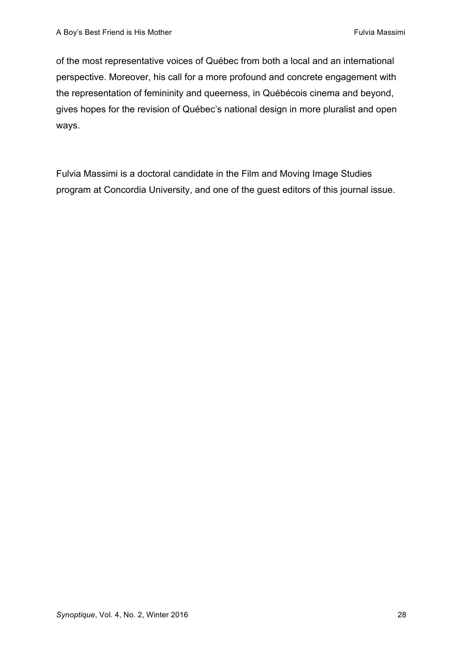of the most representative voices of Québec from both a local and an international perspective. Moreover, his call for a more profound and concrete engagement with the representation of femininity and queerness, in Québécois cinema and beyond, gives hopes for the revision of Québec's national design in more pluralist and open ways.

Fulvia Massimi is a doctoral candidate in the Film and Moving Image Studies program at Concordia University, and one of the guest editors of this journal issue.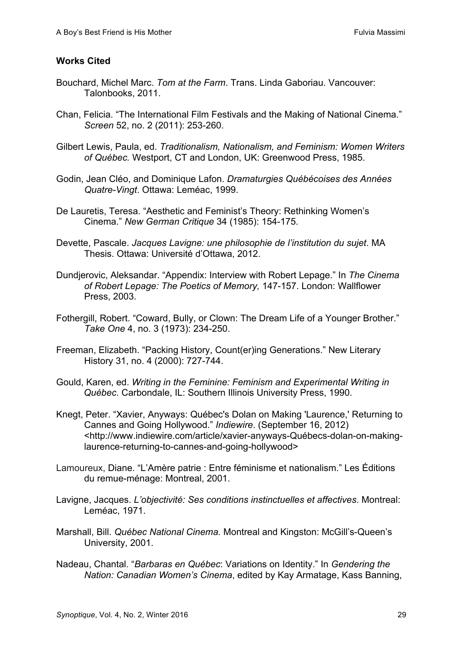## **Works Cited**

- Bouchard, Michel Marc. *Tom at the Farm*. Trans. Linda Gaboriau. Vancouver: Talonbooks, 2011.
- Chan, Felicia. "The International Film Festivals and the Making of National Cinema." *Screen* 52, no. 2 (2011): 253-260.
- Gilbert Lewis, Paula, ed. *Traditionalism, Nationalism, and Feminism: Women Writers of Québec.* Westport, CT and London, UK: Greenwood Press, 1985.
- Godin, Jean Cléo, and Dominique Lafon. *Dramaturgies Québécoises des Années Quatre-Vingt*. Ottawa: Leméac, 1999.
- De Lauretis, Teresa. "Aesthetic and Feminist's Theory: Rethinking Women's Cinema." *New German Critique* 34 (1985): 154-175.
- Devette, Pascale. *Jacques Lavigne: une philosophie de l'institution du sujet*. MA Thesis. Ottawa: Université d'Ottawa, 2012.
- Dundjerovic, Aleksandar. "Appendix: Interview with Robert Lepage." In *The Cinema of Robert Lepage: The Poetics of Memory,* 147-157. London: Wallflower Press, 2003.
- Fothergill, Robert. "Coward, Bully, or Clown: The Dream Life of a Younger Brother." *Take One* 4, no. 3 (1973): 234-250.
- Freeman, Elizabeth. "Packing History, Count(er)ing Generations." New Literary History 31, no. 4 (2000): 727-744.
- Gould, Karen, ed. *Writing in the Feminine: Feminism and Experimental Writing in Québec*. Carbondale, IL: Southern Illinois University Press, 1990.
- Knegt, Peter. "Xavier, Anyways: Québec's Dolan on Making 'Laurence,' Returning to Cannes and Going Hollywood." *Indiewire*. (September 16, 2012) <http://www.indiewire.com/article/xavier-anyways-Québecs-dolan-on-makinglaurence-returning-to-cannes-and-going-hollywood>
- Lamoureux, Diane. "L'Amère patrie : Entre féminisme et nationalism." Les Éditions du remue-ménage: Montreal, 2001.
- Lavigne, Jacques. *L'objectivité: Ses conditions instinctuelles et affectives*. Montreal: Leméac, 1971.
- Marshall, Bill. *Québec National Cinema.* Montreal and Kingston: McGill's-Queen's University, 2001.
- Nadeau, Chantal. "*Barbaras en Québec*: Variations on Identity." In *Gendering the Nation: Canadian Women's Cinema*, edited by Kay Armatage, Kass Banning,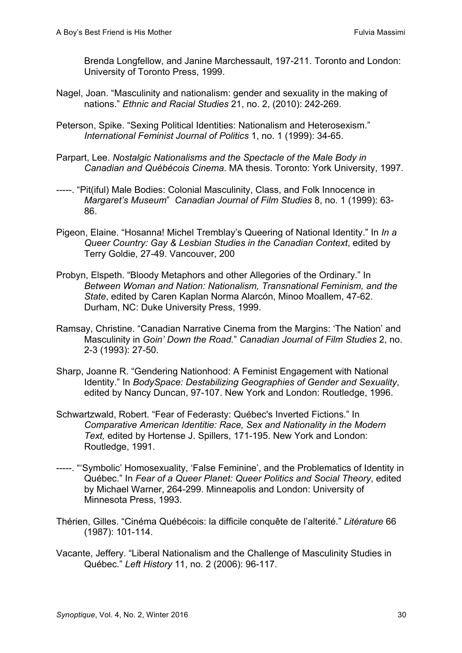Brenda Longfellow, and Janine Marchessault, 197-211. Toronto and London: University of Toronto Press, 1999.

- Nagel, Joan. "Masculinity and nationalism: gender and sexuality in the making of nations." *Ethnic and Racial Studies* 21, no. 2, (2010): 242-269.
- Peterson, Spike. "Sexing Political Identities: Nationalism and Heterosexism." *International Feminist Journal of Politics* 1, no. 1 (1999): 34-65.
- Parpart, Lee. *Nostalgic Nationalisms and the Spectacle of the Male Body in Canadian and Québécois Cinema*. MA thesis. Toronto: York University, 1997.
- -----. "Pit(iful) Male Bodies: Colonial Masculinity, Class, and Folk Innocence in *Margaret's Museum*" *Canadian Journal of Film Studies* 8, no. 1 (1999): 63- 86.
- Pigeon, Elaine. "Hosanna! Michel Tremblay's Queering of National Identity." In *In a Queer Country: Gay & Lesbian Studies in the Canadian Context*, edited by Terry Goldie, 27-49. Vancouver, 200
- Probyn, Elspeth. "Bloody Metaphors and other Allegories of the Ordinary." In *Between Woman and Nation: Nationalism, Transnational Feminism, and the State*, edited by Caren Kaplan Norma Alarcón, Minoo Moallem, 47-62. Durham, NC: Duke University Press, 1999.
- Ramsay, Christine. "Canadian Narrative Cinema from the Margins: 'The Nation' and Masculinity in *Goin' Down the Road.*" *Canadian Journal of Film Studies* 2, no. 2-3 (1993): 27-50.
- Sharp, Joanne R. "Gendering Nationhood: A Feminist Engagement with National Identity." In *BodySpace: Destabilizing Geographies of Gender and Sexuality*, edited by Nancy Duncan, 97-107. New York and London: Routledge, 1996.
- Schwartzwald, Robert. "Fear of Federasty: Québec's Inverted Fictions." In *Comparative American Identitie: Race, Sex and Nationality in the Modern Text,* edited by Hortense J. Spillers, 171-195. New York and London: Routledge, 1991.
- -----. "'Symbolic' Homosexuality, 'False Feminine', and the Problematics of Identity in Québec." In *Fear of a Queer Planet: Queer Politics and Social Theory*, edited by Michael Warner, 264-299. Minneapolis and London: University of Minnesota Press, 1993.
- Thérien, Gilles. "Cinéma Québécois: la difficile conquête de l'alterité." *Litérature* 66 (1987): 101-114.
- Vacante, Jeffery. "Liberal Nationalism and the Challenge of Masculinity Studies in Québec." *Left History* 11, no. 2 (2006): 96-117.